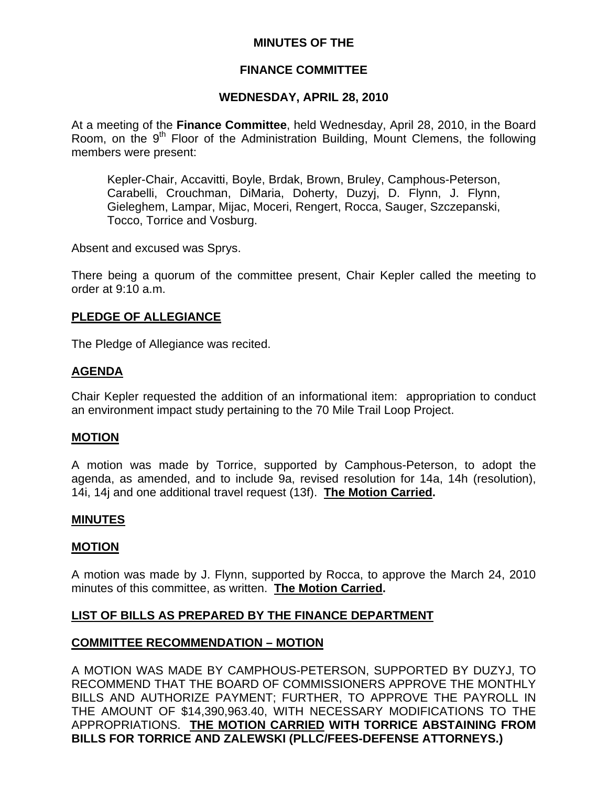# **MINUTES OF THE**

## **FINANCE COMMITTEE**

## **WEDNESDAY, APRIL 28, 2010**

At a meeting of the **Finance Committee**, held Wednesday, April 28, 2010, in the Board Room, on the 9<sup>th</sup> Floor of the Administration Building, Mount Clemens, the following members were present:

Kepler-Chair, Accavitti, Boyle, Brdak, Brown, Bruley, Camphous-Peterson, Carabelli, Crouchman, DiMaria, Doherty, Duzyj, D. Flynn, J. Flynn, Gieleghem, Lampar, Mijac, Moceri, Rengert, Rocca, Sauger, Szczepanski, Tocco, Torrice and Vosburg.

Absent and excused was Sprys.

There being a quorum of the committee present, Chair Kepler called the meeting to order at 9:10 a.m.

## **PLEDGE OF ALLEGIANCE**

The Pledge of Allegiance was recited.

## **AGENDA**

Chair Kepler requested the addition of an informational item: appropriation to conduct an environment impact study pertaining to the 70 Mile Trail Loop Project.

## **MOTION**

A motion was made by Torrice, supported by Camphous-Peterson, to adopt the agenda, as amended, and to include 9a, revised resolution for 14a, 14h (resolution), 14i, 14j and one additional travel request (13f). **The Motion Carried.** 

## **MINUTES**

## **MOTION**

A motion was made by J. Flynn, supported by Rocca, to approve the March 24, 2010 minutes of this committee, as written. **The Motion Carried.** 

# **LIST OF BILLS AS PREPARED BY THE FINANCE DEPARTMENT**

## **COMMITTEE RECOMMENDATION – MOTION**

A MOTION WAS MADE BY CAMPHOUS-PETERSON, SUPPORTED BY DUZYJ, TO RECOMMEND THAT THE BOARD OF COMMISSIONERS APPROVE THE MONTHLY BILLS AND AUTHORIZE PAYMENT; FURTHER, TO APPROVE THE PAYROLL IN THE AMOUNT OF \$14,390,963.40, WITH NECESSARY MODIFICATIONS TO THE APPROPRIATIONS. **THE MOTION CARRIED WITH TORRICE ABSTAINING FROM BILLS FOR TORRICE AND ZALEWSKI (PLLC/FEES-DEFENSE ATTORNEYS.)**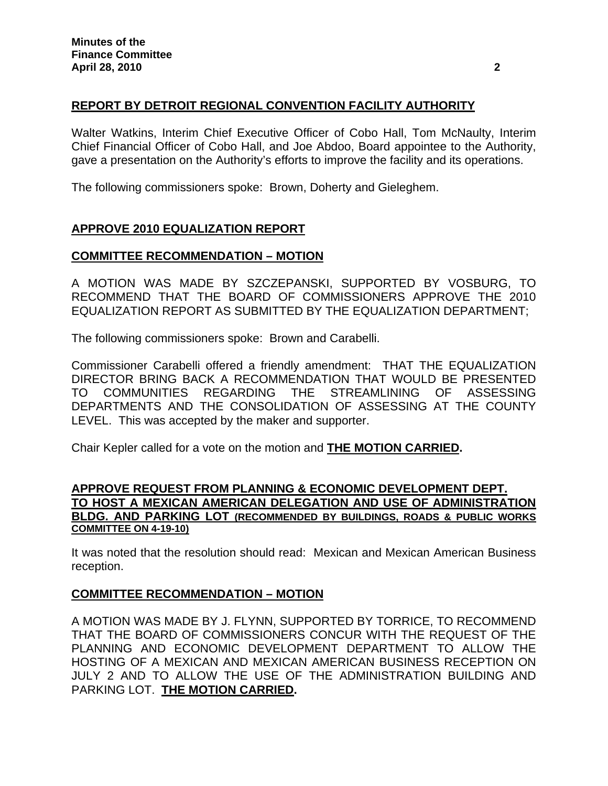# **REPORT BY DETROIT REGIONAL CONVENTION FACILITY AUTHORITY**

Walter Watkins, Interim Chief Executive Officer of Cobo Hall, Tom McNaulty, Interim Chief Financial Officer of Cobo Hall, and Joe Abdoo, Board appointee to the Authority, gave a presentation on the Authority's efforts to improve the facility and its operations.

The following commissioners spoke: Brown, Doherty and Gieleghem.

# **APPROVE 2010 EQUALIZATION REPORT**

## **COMMITTEE RECOMMENDATION – MOTION**

A MOTION WAS MADE BY SZCZEPANSKI, SUPPORTED BY VOSBURG, TO RECOMMEND THAT THE BOARD OF COMMISSIONERS APPROVE THE 2010 EQUALIZATION REPORT AS SUBMITTED BY THE EQUALIZATION DEPARTMENT;

The following commissioners spoke: Brown and Carabelli.

Commissioner Carabelli offered a friendly amendment: THAT THE EQUALIZATION DIRECTOR BRING BACK A RECOMMENDATION THAT WOULD BE PRESENTED TO COMMUNITIES REGARDING THE STREAMLINING OF ASSESSING DEPARTMENTS AND THE CONSOLIDATION OF ASSESSING AT THE COUNTY LEVEL. This was accepted by the maker and supporter.

Chair Kepler called for a vote on the motion and **THE MOTION CARRIED.** 

## **APPROVE REQUEST FROM PLANNING & ECONOMIC DEVELOPMENT DEPT. TO HOST A MEXICAN AMERICAN DELEGATION AND USE OF ADMINISTRATION BLDG. AND PARKING LOT (RECOMMENDED BY BUILDINGS, ROADS & PUBLIC WORKS COMMITTEE ON 4-19-10)**

It was noted that the resolution should read: Mexican and Mexican American Business reception.

# **COMMITTEE RECOMMENDATION – MOTION**

A MOTION WAS MADE BY J. FLYNN, SUPPORTED BY TORRICE, TO RECOMMEND THAT THE BOARD OF COMMISSIONERS CONCUR WITH THE REQUEST OF THE PLANNING AND ECONOMIC DEVELOPMENT DEPARTMENT TO ALLOW THE HOSTING OF A MEXICAN AND MEXICAN AMERICAN BUSINESS RECEPTION ON JULY 2 AND TO ALLOW THE USE OF THE ADMINISTRATION BUILDING AND PARKING LOT. **THE MOTION CARRIED.**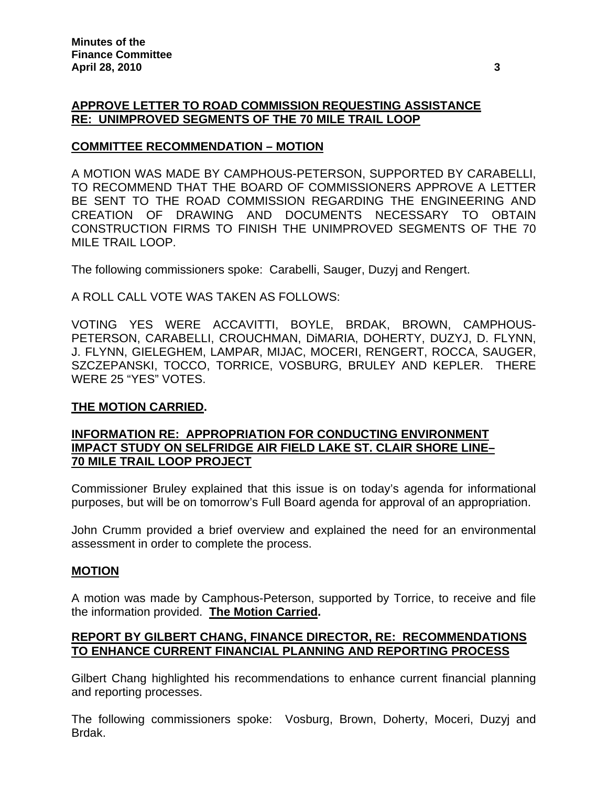# **APPROVE LETTER TO ROAD COMMISSION REQUESTING ASSISTANCE RE: UNIMPROVED SEGMENTS OF THE 70 MILE TRAIL LOOP**

# **COMMITTEE RECOMMENDATION – MOTION**

A MOTION WAS MADE BY CAMPHOUS-PETERSON, SUPPORTED BY CARABELLI, TO RECOMMEND THAT THE BOARD OF COMMISSIONERS APPROVE A LETTER BE SENT TO THE ROAD COMMISSION REGARDING THE ENGINEERING AND CREATION OF DRAWING AND DOCUMENTS NECESSARY TO OBTAIN CONSTRUCTION FIRMS TO FINISH THE UNIMPROVED SEGMENTS OF THE 70 MILE TRAIL LOOP.

The following commissioners spoke: Carabelli, Sauger, Duzyj and Rengert.

A ROLL CALL VOTE WAS TAKEN AS FOLLOWS:

VOTING YES WERE ACCAVITTI, BOYLE, BRDAK, BROWN, CAMPHOUS-PETERSON, CARABELLI, CROUCHMAN, DiMARIA, DOHERTY, DUZYJ, D. FLYNN, J. FLYNN, GIELEGHEM, LAMPAR, MIJAC, MOCERI, RENGERT, ROCCA, SAUGER, SZCZEPANSKI, TOCCO, TORRICE, VOSBURG, BRULEY AND KEPLER. THERE WERE 25 "YES" VOTES.

# **THE MOTION CARRIED.**

# **INFORMATION RE: APPROPRIATION FOR CONDUCTING ENVIRONMENT IMPACT STUDY ON SELFRIDGE AIR FIELD LAKE ST. CLAIR SHORE LINE– 70 MILE TRAIL LOOP PROJECT**

Commissioner Bruley explained that this issue is on today's agenda for informational purposes, but will be on tomorrow's Full Board agenda for approval of an appropriation.

John Crumm provided a brief overview and explained the need for an environmental assessment in order to complete the process.

## **MOTION**

A motion was made by Camphous-Peterson, supported by Torrice, to receive and file the information provided. **The Motion Carried.**

# **REPORT BY GILBERT CHANG, FINANCE DIRECTOR, RE: RECOMMENDATIONS TO ENHANCE CURRENT FINANCIAL PLANNING AND REPORTING PROCESS**

Gilbert Chang highlighted his recommendations to enhance current financial planning and reporting processes.

The following commissioners spoke: Vosburg, Brown, Doherty, Moceri, Duzyj and Brdak.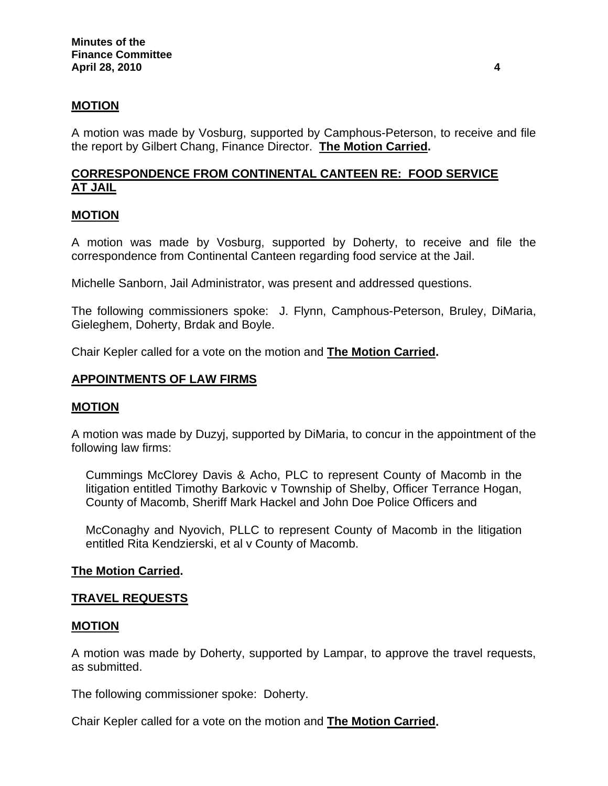## **MOTION**

A motion was made by Vosburg, supported by Camphous-Peterson, to receive and file the report by Gilbert Chang, Finance Director. **The Motion Carried.** 

# **CORRESPONDENCE FROM CONTINENTAL CANTEEN RE: FOOD SERVICE AT JAIL**

## **MOTION**

A motion was made by Vosburg, supported by Doherty, to receive and file the correspondence from Continental Canteen regarding food service at the Jail.

Michelle Sanborn, Jail Administrator, was present and addressed questions.

The following commissioners spoke: J. Flynn, Camphous-Peterson, Bruley, DiMaria, Gieleghem, Doherty, Brdak and Boyle.

Chair Kepler called for a vote on the motion and **The Motion Carried.** 

#### **APPOINTMENTS OF LAW FIRMS**

#### **MOTION**

A motion was made by Duzyj, supported by DiMaria, to concur in the appointment of the following law firms:

Cummings McClorey Davis & Acho, PLC to represent County of Macomb in the litigation entitled Timothy Barkovic v Township of Shelby, Officer Terrance Hogan, County of Macomb, Sheriff Mark Hackel and John Doe Police Officers and

McConaghy and Nyovich, PLLC to represent County of Macomb in the litigation entitled Rita Kendzierski, et al v County of Macomb.

#### **The Motion Carried.**

## **TRAVEL REQUESTS**

#### **MOTION**

A motion was made by Doherty, supported by Lampar, to approve the travel requests, as submitted.

The following commissioner spoke: Doherty.

Chair Kepler called for a vote on the motion and **The Motion Carried.**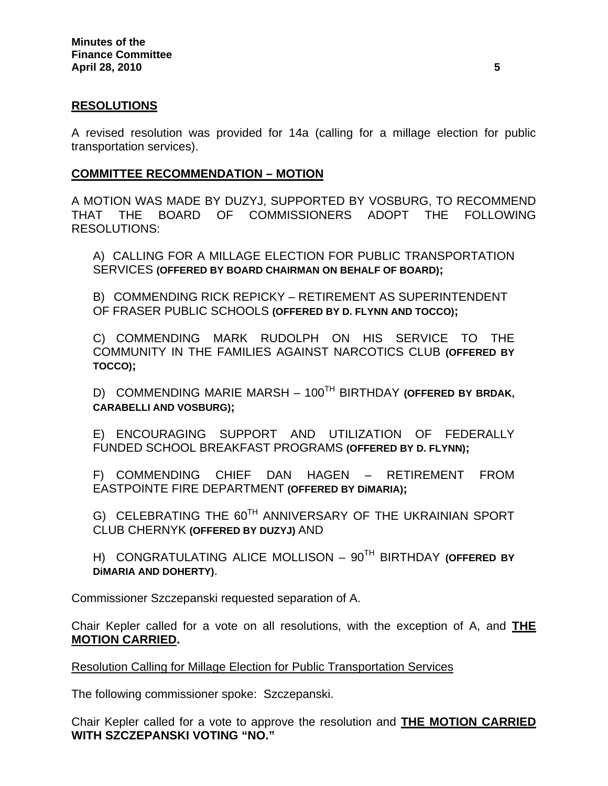## **RESOLUTIONS**

A revised resolution was provided for 14a (calling for a millage election for public transportation services).

## **COMMITTEE RECOMMENDATION – MOTION**

A MOTION WAS MADE BY DUZYJ, SUPPORTED BY VOSBURG, TO RECOMMEND THAT THE BOARD OF COMMISSIONERS ADOPT THE FOLLOWING RESOLUTIONS:

A) CALLING FOR A MILLAGE ELECTION FOR PUBLIC TRANSPORTATION SERVICES **(OFFERED BY BOARD CHAIRMAN ON BEHALF OF BOARD);** 

B) COMMENDING RICK REPICKY – RETIREMENT AS SUPERINTENDENT OF FRASER PUBLIC SCHOOLS **(OFFERED BY D. FLYNN AND TOCCO);** 

C) COMMENDING MARK RUDOLPH ON HIS SERVICE TO THE COMMUNITY IN THE FAMILIES AGAINST NARCOTICS CLUB **(OFFERED BY TOCCO);** 

D) COMMENDING MARIE MARSH – 100TH BIRTHDAY **(OFFERED BY BRDAK, CARABELLI AND VOSBURG);** 

E) ENCOURAGING SUPPORT AND UTILIZATION OF FEDERALLY FUNDED SCHOOL BREAKFAST PROGRAMS **(OFFERED BY D. FLYNN);** 

F) COMMENDING CHIEF DAN HAGEN – RETIREMENT FROM EASTPOINTE FIRE DEPARTMENT **(OFFERED BY DiMARIA);** 

G) CELEBRATING THE 60<sup>TH</sup> ANNIVERSARY OF THE UKRAINIAN SPORT CLUB CHERNYK **(OFFERED BY DUZYJ)** AND

H) CONGRATULATING ALICE MOLLISON – 90TH BIRTHDAY **(OFFERED BY DiMARIA AND DOHERTY)**.

Commissioner Szczepanski requested separation of A.

Chair Kepler called for a vote on all resolutions, with the exception of A, and **THE MOTION CARRIED.**

## Resolution Calling for Millage Election for Public Transportation Services

The following commissioner spoke: Szczepanski.

Chair Kepler called for a vote to approve the resolution and **THE MOTION CARRIED WITH SZCZEPANSKI VOTING "NO."**